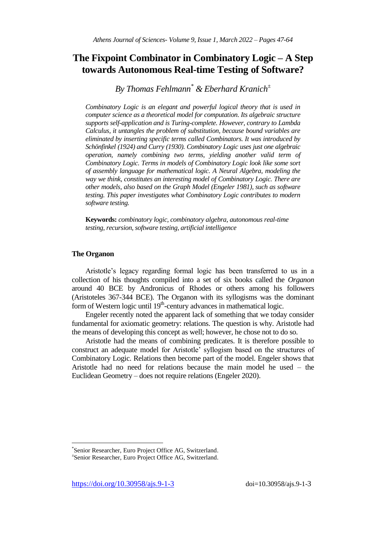# **The Fixpoint Combinator in Combinatory Logic – A Step towards Autonomous Real-time Testing of Software?**

*By Thomas Fehlmann\* & Eberhard Kranich<sup>±</sup>*

*Combinatory Logic is an elegant and powerful logical theory that is used in computer science as a theoretical model for computation. Its algebraic structure supports self-application and is Turing-complete. However, contrary to Lambda Calculus, it untangles the problem of substitution, because bound variables are eliminated by inserting specific terms called Combinators. It was introduced by Schönfinkel (1924) and Curry (1930). Combinatory Logic uses just one algebraic operation, namely combining two terms, yielding another valid term of Combinatory Logic. Terms in models of Combinatory Logic look like some sort of assembly language for mathematical logic. A Neural Algebra, modeling the way we think, constitutes an interesting model of Combinatory Logic. There are other models, also based on the Graph Model (Engeler 1981), such as software testing. This paper investigates what Combinatory Logic contributes to modern software testing.*

**Keywords:** *combinatory logic, combinatory algebra, autonomous real-time testing, recursion, software testing, artificial intelligence*

# **The Organon**

 $\overline{a}$ 

Aristotle's legacy regarding formal logic has been transferred to us in a collection of his thoughts compiled into a set of six books called the *Organon* around 40 BCE by Andronicus of Rhodes or others among his followers (Aristoteles 367-344 BCE). The Organon with its syllogisms was the dominant form of Western logic until 19<sup>th</sup>-century advances in mathematical logic.

Engeler recently noted the apparent lack of something that we today consider fundamental for axiomatic geometry: relations. The question is why. Aristotle had the means of developing this concept as well; however, he chose not to do so.

Aristotle had the means of combining predicates. It is therefore possible to construct an adequate model for Aristotle' syllogism based on the structures of Combinatory Logic. Relations then become part of the model. Engeler shows that Aristotle had no need for relations because the main model he used – the Euclidean Geometry – does not require relations (Engeler 2020).

<sup>\*</sup> Senior Researcher, Euro Project Office AG, Switzerland.

<sup>±</sup> Senior Researcher, Euro Project Office AG, Switzerland.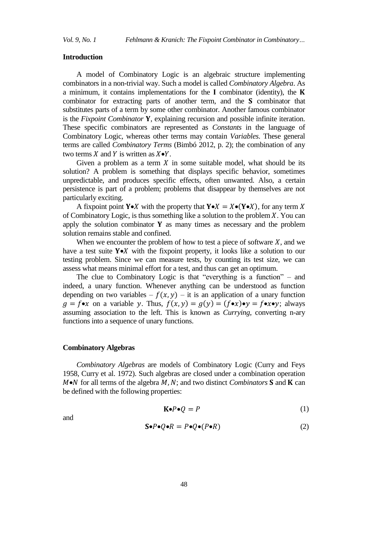#### **Introduction**

A model of Combinatory Logic is an algebraic structure implementing combinators in a non-trivial way. Such a model is called *Combinatory Algebra*. As a minimum, it contains implementations for the  $I$  combinator (identity), the  $K$ combinator for extracting parts of another term, and the  $S$  combinator that substitutes parts of a term by some other combinator. Another famous combinator is the *Fixpoint Combinator* Y, explaining recursion and possible infinite iteration. These specific combinators are represented as *Constants* in the language of Combinatory Logic, whereas other terms may contain *Variables*. These general terms are called *Combinatory Terms* (Bimbó 2012, p. 2); the combination of any two terms X and Y is written as  $X \bullet Y$ .

Given a problem as a term  $X$  in some suitable model, what should be its solution? A problem is something that displays specific behavior, sometimes unpredictable, and produces specific effects, often unwanted. Also, a certain persistence is part of a problem; problems that disappear by themselves are not particularly exciting.

A fixpoint point Y•X with the property that  $Y \bullet X = X \bullet (Y \bullet X)$ , for any term X of Combinatory Logic, is thus something like a solution to the problem  $X$ . You can apply the solution combinator  $Y$  as many times as necessary and the problem solution remains stable and confined.

When we encounter the problem of how to test a piece of software  $X$ , and we have a test suite  $Y \bullet X$  with the fixpoint property, it looks like a solution to our testing problem. Since we can measure tests, by counting its test size, we can assess what means minimal effort for a test, and thus can get an optimum.

The clue to Combinatory Logic is that "everything is a function" – and indeed, a unary function. Whenever anything can be understood as function depending on two variables –  $f(x, y)$  – it is an application of a unary function  $g = f \bullet x$  on a variable y. Thus,  $f(x, y) = g(y) = (f \bullet x) \bullet y = f \bullet x \bullet y$ ; always assuming association to the left. This is known as *Currying*, converting n-ary functions into a sequence of unary functions.

## **Combinatory Algebras**

*Combinatory Algebras* are models of Combinatory Logic (Curry and Feys 1958, Curry et al. 1972). Such algebras are closed under a combination operation  $M \bullet N$  for all terms of the algebra  $M$ ,  $N$ ; and two distinct *Combinators* **S** and **K** can be defined with the following properties:

$$
\mathbf{K} \bullet P \bullet Q = P \tag{1}
$$

and

$$
\mathbf{S} \bullet P \bullet Q \bullet R = P \bullet Q \bullet (P \bullet R) \tag{2}
$$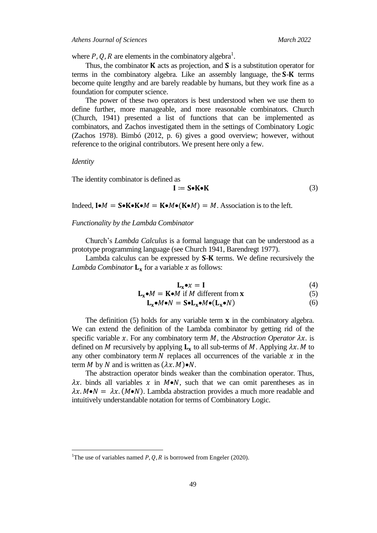where P, Q, R are elements in the combinatory algebra<sup>1</sup>.

Thus, the combinator  $\bf{K}$  acts as projection, and  $\bf{S}$  is a substitution operator for terms in the combinatory algebra. Like an assembly language, the  $S-K$  terms become quite lengthy and are barely readable by humans, but they work fine as a foundation for computer science.

The power of these two operators is best understood when we use them to define further, more manageable, and more reasonable combinators. Church (Church, 1941) presented a list of functions that can be implemented as combinators, and Zachos investigated them in the settings of Combinatory Logic (Zachos 1978). Bimbó (2012, p. 6) gives a good overview; however, without reference to the original contributors. We present here only a few.

*Identity*

 $\overline{a}$ 

The identity combinator is defined as

$$
\mathbf{I} \coloneqq \mathbf{S} \bullet \mathbf{K} \bullet \mathbf{K} \tag{3}
$$

Indeed,  $\mathbf{I} \bullet M = \mathbf{S} \bullet \mathbf{K} \bullet \mathbf{K} \bullet M = \mathbf{K} \bullet M \bullet (\mathbf{K} \bullet M) = M$ . Association is to the left.

*Functionality by the Lambda Combinator*

Church's *Lambda Calculus* is a formal language that can be understood as a prototype programming language (see Church 1941, Barendregt 1977).

Lambda calculus can be expressed by  $S-K$  terms. We define recursively the *Lambda Combinator*  $L_x$  for a variable x as follows:

$$
\mathbf{L}_{\mathbf{x}} \bullet \mathbf{x} = \mathbf{I} \tag{4}
$$

$$
\mathbf{L}_{\mathbf{x}} \bullet M = \mathbf{K} \bullet M \text{ if } M \text{ different from } \mathbf{x} \tag{5}
$$

$$
\mathbf{L}_{\mathbf{x}} \bullet M \bullet N = \mathbf{S} \bullet \mathbf{L}_{\mathbf{x}} \bullet M \bullet (\mathbf{L}_{\mathbf{x}} \bullet N) \tag{6}
$$

The definition  $(5)$  holds for any variable term **x** in the combinatory algebra. We can extend the definition of the Lambda combinator by getting rid of the specific variable  $x$ . For any combinatory term  $M$ , the *Abstraction Operator*  $\lambda x$ . is defined on M recursively by applying  $L_x$  to all sub-terms of M. Applying  $\lambda x$ . M to any other combinatory term  $N$  replaces all occurrences of the variable  $x$  in the term M by N and is written as  $(\lambda x. M) \bullet N$ .

The abstraction operator binds weaker than the combination operator. Thus,  $\lambda x$ . binds all variables x in  $M \bullet N$ , such that we can omit parentheses as in  $\lambda x. M \bullet N = \lambda x. (M \bullet N)$ . Lambda abstraction provides a much more readable and intuitively understandable notation for terms of Combinatory Logic.

<sup>&</sup>lt;sup>1</sup>The use of variables named P, Q, R is borrowed from Engeler (2020).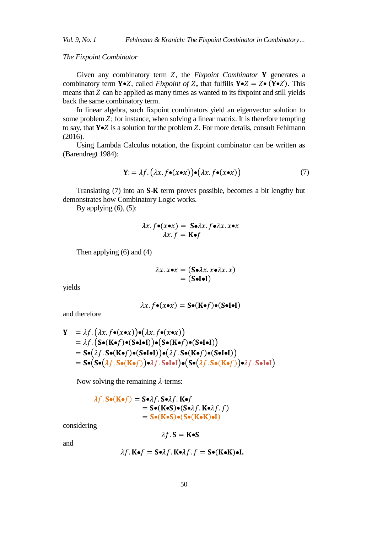*Vol. 9, No. 1 Fehlmann & Kranich: The Fixpoint Combinator in Combinatory…*

*The Fixpoint Combinator*

Given any combinatory term Z, the *Fixpoint Combinator* Y generates a combinatory term Y•Z, called *Fixpoint of* Z, that fulfills  $Y \cdot Z = Z \cdot (Y \cdot Z)$ . This means that  $Z$  can be applied as many times as wanted to its fixpoint and still yields back the same combinatory term.

In linear algebra, such fixpoint combinators yield an eigenvector solution to some problem  $Z$ ; for instance, when solving a linear matrix. It is therefore tempting to say, that  $Y \cdot Z$  is a solution for the problem Z. For more details, consult Fehlmann (2016).

Using Lambda Calculus notation, the fixpoint combinator can be written as (Barendregt 1984):

$$
\mathbf{Y} = \lambda f. \left( \lambda x. f \bullet (x \bullet x) \right) \bullet \left( \lambda x. f \bullet (x \bullet x) \right) \tag{7}
$$

Translating  $(7)$  into an **S-K** term proves possible, becomes a bit lengthy but demonstrates how Combinatory Logic works.

By applying  $(6)$ ,  $(5)$ :

$$
\lambda x. f \bullet (x \bullet x) = S \bullet \lambda x. f \bullet \lambda x. x \bullet x
$$

$$
\lambda x. f = K \bullet f
$$

Then applying (6) and (4)

$$
\lambda x. x \bullet x = (\mathbf{S} \bullet \lambda x. x \bullet \lambda x. x)
$$

$$
= (\mathbf{S} \bullet \mathbf{I} \bullet \mathbf{I})
$$

yields

$$
\lambda x. f \bullet (x \bullet x) = S \bullet (K \bullet f) \bullet (S \bullet I \bullet I)
$$

and therefore

$$
Y = \lambda f. (\lambda x. f \bullet (x \bullet x)) \bullet (\lambda x. f \bullet (x \bullet x))
$$
  
=  $\lambda f. (S \bullet (K \bullet f) \bullet (S \bullet I \bullet I)) \bullet (S \bullet (K \bullet f) \bullet (S \bullet I \bullet I))$   
=  $S \bullet (\lambda f. S \bullet (K \bullet f) \bullet (S \bullet I \bullet I)) \bullet (\lambda f. S \bullet (K \bullet f) \bullet (S \bullet I \bullet I))$   
=  $S \bullet (S \bullet (\lambda f. S \bullet (K \bullet f)) \bullet \lambda f. S \bullet I \bullet I) \bullet (S \bullet (\lambda f. S \bullet (K \bullet f)) \bullet \lambda f. S \bullet I \bullet I)$ 

Now solving the remaining  $\lambda$ -terms:

$$
\lambda f. S \bullet (K \bullet f) = S \bullet \lambda f. S \bullet \lambda f. K \bullet f
$$
  
= S \bullet (K \bullet S) \bullet (S \bullet \lambda f. K \bullet \lambda f. f)  
= S \bullet (K \bullet S) \bullet (S \bullet (K \bullet K) \bullet I)

considering

$$
\lambda f.\, \mathbf{S} = \mathbf{K} \bullet \mathbf{S}
$$

and

$$
\lambda f.\,\mathbf{K} \bullet f = \mathbf{S} \bullet \lambda f.\,\mathbf{K} \bullet \lambda f.\,f = \mathbf{S} \bullet (\mathbf{K} \bullet \mathbf{K}) \bullet \mathbf{I}.
$$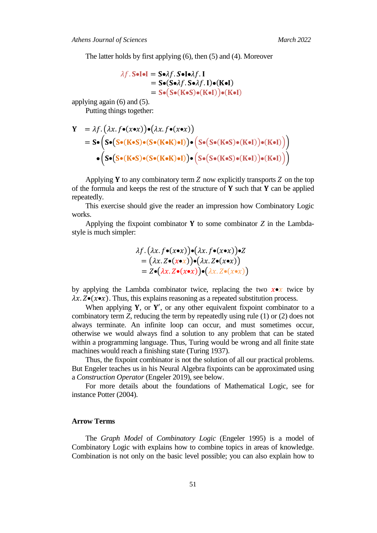The latter holds by first applying (6), then (5) and (4). Moreover

$$
\lambda f. S \bullet I \bullet I = S \bullet \lambda f. S \bullet I \bullet \lambda f. I
$$
  
= S \bullet (S \bullet \lambda f. S \bullet \lambda f. I) \bullet (K \bullet I)  
= S \bullet (S \bullet (K \bullet S) \bullet (K \bullet I)) \bullet (K \bullet I)

applying again (6) and (5).

Putting things together:

$$
Y = \lambda f. (\lambda x. f \bullet (x \bullet x)) \bullet (\lambda x. f \bullet (x \bullet x))
$$
  
=  $S \bullet (S \bullet (S \bullet (K \bullet S) \bullet (S \bullet (K \bullet K) \bullet I)) \bullet (S \bullet (S \bullet (K \bullet S) \bullet (K \bullet I)) \bullet (K \bullet I)))$   
 $\bullet (S \bullet (S \bullet (K \bullet S) \bullet (S \bullet (K \bullet K) \bullet I)) \bullet (S \bullet (S \bullet (K \bullet S) \bullet (K \bullet I))) \bullet (K \bullet I)))$ 

Applying Y to any combinatory term  $Z$  now explicitly transports  $Z$  on the top of the formula and keeps the rest of the structure of  $Y$  such that  $Y$  can be applied repeatedly.

This exercise should give the reader an impression how Combinatory Logic works.

Applying the fixpoint combinator  $Y$  to some combinator  $Z$  in the Lambdastyle is much simpler:

$$
\lambda f. (\lambda x. f \bullet (x \bullet x)) \bullet (\lambda x. f \bullet (x \bullet x)) \bullet Z \n= (\lambda x. Z \bullet (x \bullet x)) \bullet (\lambda x. Z \bullet (x \bullet x)) \n= Z \bullet (\lambda x. Z \bullet (x \bullet x)) \bullet (\lambda x. Z \bullet (x \bullet x))
$$

by applying the Lambda combinator twice, replacing the two  $x \bullet x$  twice by  $\lambda x. Z \bullet (\chi \bullet x)$ . Thus, this explains reasoning as a repeated substitution process.

When applying  $Y$ , or  $Y'$ , or any other equivalent fixpoint combinator to a combinatory term *Z*, reducing the term by repeatedly using rule (1) or (2) does not always terminate. An infinite loop can occur, and must sometimes occur, otherwise we would always find a solution to any problem that can be stated within a programming language. Thus, Turing would be wrong and all finite state machines would reach a finishing state (Turing 1937).

Thus, the fixpoint combinator is not the solution of all our practical problems. But Engeler teaches us in his Neural Algebra fixpoints can be approximated using a *Construction Operator* (Engeler 2019), see below.

For more details about the foundations of Mathematical Logic, see for instance Potter (2004).

## **Arrow Terms**

The *Graph Model* of *Combinatory Logic* (Engeler 1995) is a model of Combinatory Logic with explains how to combine topics in areas of knowledge. Combination is not only on the basic level possible; you can also explain how to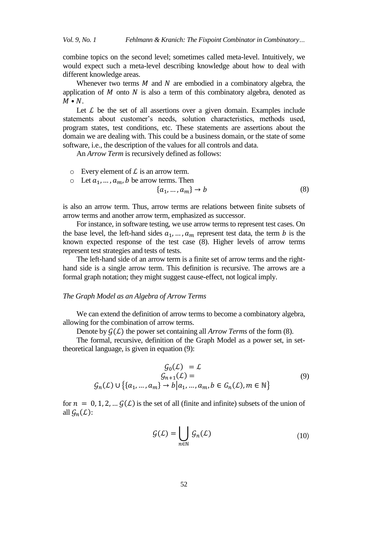combine topics on the second level; sometimes called meta-level. Intuitively, we would expect such a meta-level describing knowledge about how to deal with different knowledge areas.

Whenever two terms  $M$  and  $N$  are embodied in a combinatory algebra, the application of  $M$  onto  $N$  is also a term of this combinatory algebra, denoted as  $M \bullet N$ .

Let  $\mathcal L$  be the set of all assertions over a given domain. Examples include statements about customer's needs, solution characteristics, methods used, program states, test conditions, etc. These statements are assertions about the domain we are dealing with. This could be a business domain, or the state of some software, i.e., the description of the values for all controls and data.

An *Arrow Term* is recursively defined as follows:

- $\circ$  Every element of  $\mathcal L$  is an arrow term.
- $\circ$  Let  $a_1, ..., a_m$ , b be arrow terms. Then

$$
\{a_1, \dots, a_m\} \to b \tag{8}
$$

is also an arrow term. Thus, arrow terms are relations between finite subsets of arrow terms and another arrow term, emphasized as successor.

For instance, in software testing, we use arrow terms to represent test cases. On the base level, the left-hand sides  $a_1, ..., a_m$  represent test data, the term b is the known expected response of the test case (8). Higher levels of arrow terms represent test strategies and tests of tests.

The left-hand side of an arrow term is a finite set of arrow terms and the righthand side is a single arrow term. This definition is recursive. The arrows are a formal graph notation; they might suggest cause-effect, not logical imply.

#### *The Graph Model as an Algebra of Arrow Terms*

We can extend the definition of arrow terms to become a combinatory algebra, allowing for the combination of arrow terms.

Denote by  $G(\mathcal{L})$  the power set containing all *Arrow Terms* of the form (8).

The formal, recursive, definition of the Graph Model as a power set, in settheoretical language, is given in equation (9):

$$
G_0(\mathcal{L}) = \mathcal{L}
$$
  
\n
$$
G_{n+1}(\mathcal{L}) =
$$
  
\n
$$
G_n(\mathcal{L}) \cup \{ \{a_1, ..., a_m\} \to b | a_1, ..., a_m, b \in G_n(\mathcal{L}), m \in \mathbb{N} \}
$$
\n(9)

for  $n = 0, 1, 2, \dots, \mathcal{G}(\mathcal{L})$  is the set of all (finite and infinite) subsets of the union of all  $\mathcal{G}_n(\mathcal{L})$ :

$$
\mathcal{G}(\mathcal{L}) = \bigcup_{n \in \mathbb{N}} \mathcal{G}_n(\mathcal{L}) \tag{10}
$$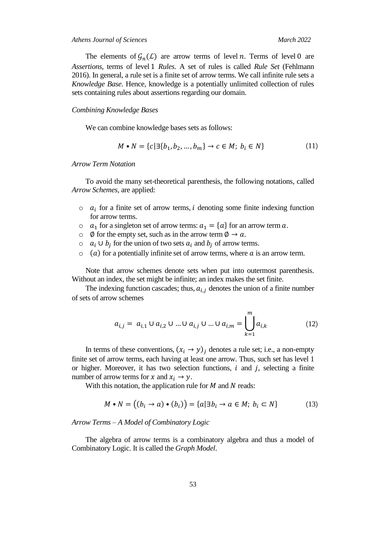The elements of  $\mathcal{G}_n(\mathcal{L})$  are arrow terms of level n. Terms of level 0 are *Assertions*, terms of level *Rules*. A set of rules is called *Rule Set* (Fehlmann 2016). In general, a rule set is a finite set of arrow terms. We call infinite rule sets a *Knowledge Base*. Hence, knowledge is a potentially unlimited collection of rules sets containing rules about assertions regarding our domain.

### *Combining Knowledge Bases*

We can combine knowledge bases sets as follows:

$$
M \bullet N = \{c | \exists \{b_1, b_2, \dots, b_m\} \to c \in M; \ b_i \in N\}
$$
(11)

## *Arrow Term Notation*

To avoid the many set-theoretical parenthesis, the following notations, called *Arrow Schemes*, are applied:

- $\circ$   $a_i$  for a finite set of arrow terms, *i* denoting some finite indexing function for arrow terms.
- $\circ$   $a_1$  for a singleton set of arrow terms:  $a_1 = \{a\}$  for an arrow term a.
- $\circ$   $\emptyset$  for the empty set, such as in the arrow term  $\emptyset \rightarrow \alpha$ .
- $\circ$   $a_i \cup b_j$  for the union of two sets  $a_i$  and  $b_j$  of arrow terms.
- $\circ$  (a) for a potentially infinite set of arrow terms, where a is an arrow term.

Note that arrow schemes denote sets when put into outermost parenthesis. Without an index, the set might be infinite; an index makes the set finite.

The indexing function cascades; thus,  $a_{i,i}$  denotes the union of a finite number of sets of arrow schemes

$$
a_{i,j} = a_{i,1} \cup a_{i,2} \cup ... \cup a_{i,j} \cup ... \cup a_{i,m} = \bigcup_{k=1}^{m} a_{i,k}
$$
 (12)

In terms of these conventions,  $(x_i \rightarrow y)_i$  denotes a rule set; i.e., a non-empty finite set of arrow terms, each having at least one arrow. Thus, such set has level 1 or higher. Moreover, it has two selection functions,  $i$  and  $j$ , selecting a finite number of arrow terms for x and  $x_i \rightarrow y$ .

With this notation, the application rule for  $M$  and  $N$  reads:

$$
M \bullet N = ((b_i \to a) \bullet (b_i)) = \{a | \exists b_i \to a \in M; b_i \subset N\}
$$
(13)

*Arrow Terms – A Model of Combinatory Logic*

The algebra of arrow terms is a combinatory algebra and thus a model of Combinatory Logic. It is called the *Graph Model*.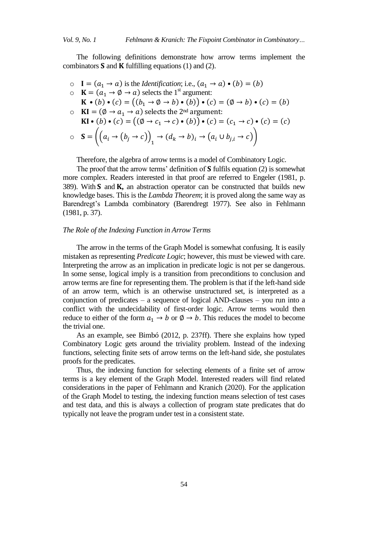The following definitions demonstrate how arrow terms implement the combinators  $S$  and  $K$  fulfilling equations (1) and (2).

 $I = (a_1 \rightarrow a)$  is the *Identification*; i.e.,  $(a_1 \rightarrow a) \bullet (b) = (b)$  $\circ$   $\mathbf{K} = (a_1 \rightarrow \emptyset \rightarrow a)$  selects the 1<sup>st</sup> argument:  $\mathbf{K} \cdot (b) \cdot (c) = ((b_1 \rightarrow \emptyset \rightarrow b) \cdot (b)) \cdot (c) = (\emptyset \rightarrow b) \cdot (c) = (b)$  $\circ$  **KI** = ( $\emptyset \rightarrow a_1 \rightarrow a$ ) selects the 2<sup>nd</sup> argument:  $\text{KI} \bullet (b) \bullet (c) = ((\emptyset \rightarrow c_1 \rightarrow c) \bullet (b)) \bullet (c) = (c_1 \rightarrow c) \bullet (c) = (c)$  $\circ$   $S = ((a_i \rightarrow (b_j \rightarrow c))_1 \rightarrow (d_k \rightarrow b)_i \rightarrow (a_i \cup b_{j,i} \rightarrow c))$ 

Therefore, the algebra of arrow terms is a model of Combinatory Logic.

The proof that the arrow terms' definition of  $S$  fulfils equation (2) is somewhat more complex. Readers interested in that proof are referred to Engeler (1981, p. 389). With  $S$  and  $K$ , an abstraction operator can be constructed that builds new knowledge bases. This is the *Lambda Theorem*; it is proved along the same way as Barendregt's Lambda combinatory (Barendregt 1977). See also in Fehlmann (1981, p. 37).

## *The Role of the Indexing Function in Arrow Terms*

The arrow in the terms of the Graph Model is somewhat confusing. It is easily mistaken as representing *Predicate Logic*; however, this must be viewed with care. Interpreting the arrow as an implication in predicate logic is not per se dangerous. In some sense, logical imply is a transition from preconditions to conclusion and arrow terms are fine for representing them. The problem is that if the left-hand side of an arrow term, which is an otherwise unstructured set, is interpreted as a conjunction of predicates – a sequence of logical AND-clauses – you run into a conflict with the undecidability of first-order logic. Arrow terms would then reduce to either of the form  $a_1 \rightarrow b$  or  $\emptyset \rightarrow b$ . This reduces the model to become the trivial one.

As an example, see Bimbó (2012, p. 237ff). There she explains how typed Combinatory Logic gets around the triviality problem. Instead of the indexing functions, selecting finite sets of arrow terms on the left-hand side, she postulates proofs for the predicates.

Thus, the indexing function for selecting elements of a finite set of arrow terms is a key element of the Graph Model. Interested readers will find related considerations in the paper of Fehlmann and Kranich (2020). For the application of the Graph Model to testing, the indexing function means selection of test cases and test data, and this is always a collection of program state predicates that do typically not leave the program under test in a consistent state.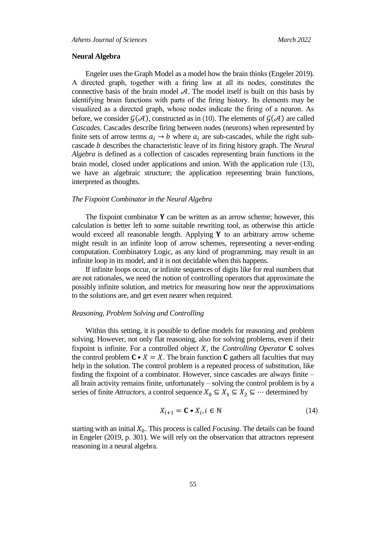## **Neural Algebra**

Engeler uses the Graph Model as a model how the brain thinks (Engeler 2019). A directed graph, together with a firing law at all its nodes, constitutes the connective basis of the brain model  $A$ . The model itself is built on this basis by identifying brain functions with parts of the firing history. Its elements may be visualized as a directed graph, whose nodes indicate the firing of a neuron. As before, we consider  $\mathcal{G}(\mathcal{A})$ , constructed as in (10). The elements of  $\mathcal{G}(\mathcal{A})$  are called *Cascades*. Cascades describe firing between nodes (neurons) when represented by finite sets of arrow terms  $a_i \rightarrow b$  where  $a_i$  are sub-cascades, while the right subcascade *b* describes the characteristic leave of its firing history graph. The *Neural Algebra* is defined as a collection of cascades representing brain functions in the brain model, closed under applications and union. With the application rule (13), we have an algebraic structure; the application representing brain functions, interpreted as thoughts.

# *The Fixpoint Combinator in the Neural Algebra*

The fixpoint combinator  $Y$  can be written as an arrow scheme; however, this calculation is better left to some suitable rewriting tool, as otherwise this article would exceed all reasonable length. Applying  $Y$  to an arbitrary arrow scheme might result in an infinite loop of arrow schemes, representing a never-ending computation. Combinatory Logic, as any kind of programming, may result in an infinite loop in its model, and it is not decidable when this happens.

If infinite loops occur, or infinite sequences of digits like for real numbers that are not rationales, we need the notion of controlling operators that approximate the possibly infinite solution, and metrics for measuring how near the approximations to the solutions are, and get even nearer when required.

#### *Reasoning, Problem Solving and Controlling*

Within this setting, it is possible to define models for reasoning and problem solving. However, not only flat reasoning, also for solving problems, even if their fixpoint is infinite. For a controlled object  $X$ , the *Controlling Operator*  $C$  solves the control problem  $C \cdot X = X$ . The brain function C gathers all faculties that may help in the solution. The control problem is a repeated process of substitution, like finding the fixpoint of a combinator. However, since cascades are always finite – all brain activity remains finite, unfortunately – solving the control problem is by a series of finite *Attractors*, a control sequence  $X_0 \subseteq X_1 \subseteq X_2 \subseteq \cdots$  determined by

$$
X_{i+1} = \mathbf{C} \bullet X_i, i \in \mathbb{N} \tag{14}
$$

starting with an initial  $X_0$ . This process is called *Focusing*. The details can be found in Engeler (2019, p. 301). We will rely on the observation that attractors represent reasoning in a neural algebra.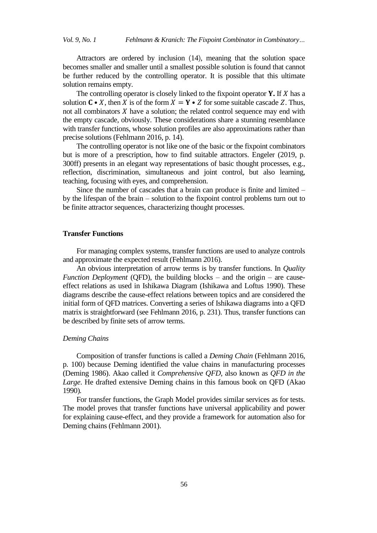Attractors are ordered by inclusion (14), meaning that the solution space becomes smaller and smaller until a smallest possible solution is found that cannot be further reduced by the controlling operator. It is possible that this ultimate solution remains empty.

The controlling operator is closely linked to the fixpoint operator  $\bf{Y}$ . If X has a solution  $C \cdot X$ , then X is of the form  $X = Y \cdot Z$  for some suitable cascade Z. Thus, not all combinators  $X$  have a solution; the related control sequence may end with the empty cascade, obviously. These considerations share a stunning resemblance with transfer functions, whose solution profiles are also approximations rather than precise solutions (Fehlmann 2016, p. 14).

The controlling operator is not like one of the basic or the fixpoint combinators but is more of a prescription, how to find suitable attractors. Engeler (2019, p. 300ff) presents in an elegant way representations of basic thought processes, e.g., reflection, discrimination, simultaneous and joint control, but also learning, teaching, focusing with eyes, and comprehension.

Since the number of cascades that a brain can produce is finite and limited – by the lifespan of the brain – solution to the fixpoint control problems turn out to be finite attractor sequences, characterizing thought processes.

# **Transfer Functions**

For managing complex systems, transfer functions are used to analyze controls and approximate the expected result (Fehlmann 2016).

An obvious interpretation of arrow terms is by transfer functions. In *Quality Function Deployment* (QFD), the building blocks – and the origin – are causeeffect relations as used in Ishikawa Diagram (Ishikawa and Loftus 1990). These diagrams describe the cause-effect relations between topics and are considered the initial form of QFD matrices. Converting a series of Ishikawa diagrams into a QFD matrix is straightforward (see Fehlmann 2016, p. 231). Thus, transfer functions can be described by finite sets of arrow terms.

#### *Deming Chains*

Composition of transfer functions is called a *Deming Chain* (Fehlmann 2016, p. 100) because Deming identified the value chains in manufacturing processes (Deming 1986). Akao called it *Comprehensive QFD*, also known as *QFD in the Large*. He drafted extensive Deming chains in this famous book on QFD (Akao 1990)*.*

For transfer functions, the Graph Model provides similar services as for tests. The model proves that transfer functions have universal applicability and power for explaining cause-effect, and they provide a framework for automation also for Deming chains (Fehlmann 2001).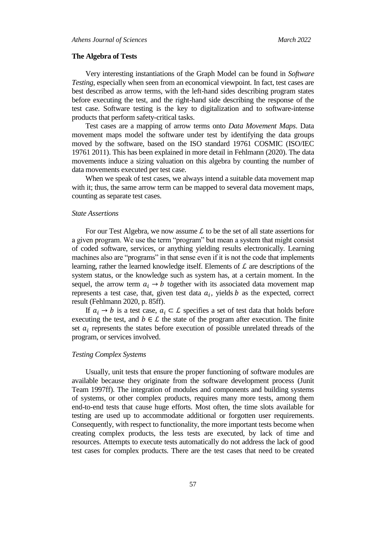#### **The Algebra of Tests**

Very interesting instantiations of the Graph Model can be found in *Software Testing*, especially when seen from an economical viewpoint. In fact, test cases are best described as arrow terms, with the left-hand sides describing program states before executing the test, and the right-hand side describing the response of the test case. Software testing is the key to digitalization and to software-intense products that perform safety-critical tasks.

Test cases are a mapping of arrow terms onto *Data Movement Maps*. Data movement maps model the software under test by identifying the data groups moved by the software, based on the ISO standard 19761 COSMIC (ISO/IEC 19761 2011). This has been explained in more detail in Fehlmann (2020). The data movements induce a sizing valuation on this algebra by counting the number of data movements executed per test case.

When we speak of test cases, we always intend a suitable data movement map with it; thus, the same arrow term can be mapped to several data movement maps, counting as separate test cases.

#### *State Assertions*

For our Test Algebra, we now assume  $\mathcal L$  to be the set of all state assertions for a given program. We use the term "program" but mean a system that might consist of coded software, services, or anything yielding results electronically. Learning machines also are "programs" in that sense even if it is not the code that implements learning, rather the learned knowledge itself. Elements of  $\mathcal L$  are descriptions of the system status, or the knowledge such as system has, at a certain moment. In the sequel, the arrow term  $a_i \rightarrow b$  together with its associated data movement map represents a test case, that, given test data  $a_i$ , yields b as the expected, correct result (Fehlmann 2020, p. 85ff).

If  $a_i \rightarrow b$  is a test case,  $a_i \subset \mathcal{L}$  specifies a set of test data that holds before executing the test, and  $b \in \mathcal{L}$  the state of the program after execution. The finite set  $a_i$  represents the states before execution of possible unrelated threads of the program, or services involved.

#### *Testing Complex Systems*

Usually, unit tests that ensure the proper functioning of software modules are available because they originate from the software development process (Junit Team 1997ff). The integration of modules and components and building systems of systems, or other complex products, requires many more tests, among them end-to-end tests that cause huge efforts. Most often, the time slots available for testing are used up to accommodate additional or forgotten user requirements. Consequently, with respect to functionality, the more important tests become when creating complex products, the less tests are executed, by lack of time and resources. Attempts to execute tests automatically do not address the lack of good test cases for complex products. There are the test cases that need to be created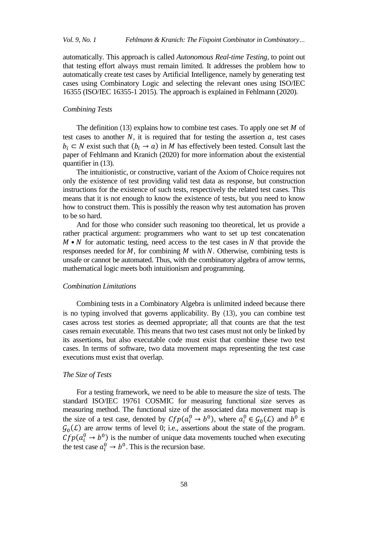automatically. This approach is called *Autonomous Real-time Testing*, to point out that testing effort always must remain limited. It addresses the problem how to automatically create test cases by Artificial Intelligence, namely by generating test cases using Combinatory Logic and selecting the relevant ones using ISO/IEC 16355 (ISO/IEC 16355-1 2015). The approach is explained in Fehlmann (2020).

## *Combining Tests*

The definition (13) explains how to combine test cases. To apply one set  $M$  of test cases to another  $N$ , it is required that for testing the assertion  $a$ , test cases  $b_i \subset N$  exist such that  $(b_i \rightarrow a)$  in M has effectively been tested. Consult last the paper of Fehlmann and Kranich (2020) for more information about the existential quantifier in (13).

The intuitionistic, or constructive, variant of the Axiom of Choice requires not only the existence of test providing valid test data as response, but construction instructions for the existence of such tests, respectively the related test cases. This means that it is not enough to know the existence of tests, but you need to know how to construct them. This is possibly the reason why test automation has proven to be so hard.

And for those who consider such reasoning too theoretical, let us provide a rather practical argument: programmers who want to set up test concatenation  $M \cdot N$  for automatic testing, need access to the test cases in N that provide the responses needed for  $M$ , for combining  $M$  with  $N$ . Otherwise, combining tests is unsafe or cannot be automated. Thus, with the combinatory algebra of arrow terms, mathematical logic meets both intuitionism and programming.

#### *Combination Limitations*

Combining tests in a Combinatory Algebra is unlimited indeed because there is no typing involved that governs applicability. By (13), you can combine test cases across test stories as deemed appropriate; all that counts are that the test cases remain executable. This means that two test cases must not only be linked by its assertions, but also executable code must exist that combine these two test cases. In terms of software, two data movement maps representing the test case executions must exist that overlap.

## *The Size of Tests*

For a testing framework, we need to be able to measure the size of tests. The standard ISO/IEC 19761 COSMIC for measuring functional size serves as measuring method. The functional size of the associated data movement map is the size of a test case, denoted by  $Cfp(a_i^0 \rightarrow b^0)$ , where  $a_i^0 \in \mathcal{G}_0(\mathcal{L})$  and  $b^0$  $\mathcal{G}_0(\mathcal{L})$  are arrow terms of level 0; i.e., assertions about the state of the program.  $Cfp(a_i^0 \rightarrow b^0)$  is the number of unique data movements touched when executing the test case  $a_i^0 \rightarrow b^0$ . This is the recursion base.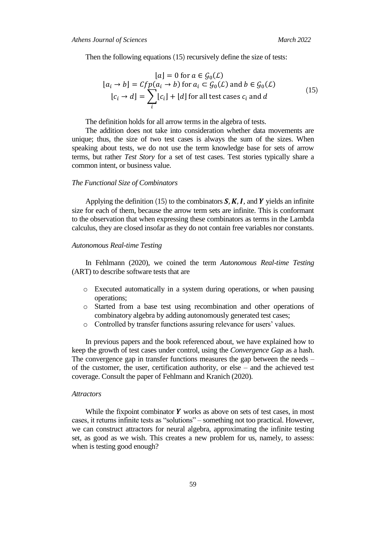Then the following equations (15) recursively define the size of tests:

$$
[a] = 0 \text{ for } a \in \mathcal{G}_0(\mathcal{L})
$$
  
\n
$$
[a_i \to b] = Cfp(a_i \to b) \text{ for } a_i \subset \mathcal{G}_0(\mathcal{L}) \text{ and } b \in \mathcal{G}_0(\mathcal{L})
$$
  
\n
$$
[c_i \to d] = \sum_i [c_i] + [d] \text{ for all test cases } c_i \text{ and } d
$$
\n(15)

The definition holds for all arrow terms in the algebra of tests.

The addition does not take into consideration whether data movements are unique; thus, the size of two test cases is always the sum of the sizes. When speaking about tests, we do not use the term knowledge base for sets of arrow terms, but rather *Test Story* for a set of test cases. Test stories typically share a common intent, or business value.

## *The Functional Size of Combinators*

Applying the definition (15) to the combinators  $S, K, I$ , and Y yields an infinite size for each of them, because the arrow term sets are infinite. This is conformant to the observation that when expressing these combinators as terms in the Lambda calculus, they are closed insofar as they do not contain free variables nor constants.

#### *Autonomous Real-time Testing*

In Fehlmann (2020), we coined the term *Autonomous Real-time Testing* (ART) to describe software tests that are

- o Executed automatically in a system during operations, or when pausing operations;
- o Started from a base test using recombination and other operations of combinatory algebra by adding autonomously generated test cases;
- o Controlled by transfer functions assuring relevance for users' values.

In previous papers and the book referenced about, we have explained how to keep the growth of test cases under control, using the *Convergence Gap* as a hash. The convergence gap in transfer functions measures the gap between the needs – of the customer, the user, certification authority, or else – and the achieved test coverage. Consult the paper of Fehlmann and Kranich (2020).

#### *Attractors*

While the fixpoint combinator  $Y$  works as above on sets of test cases, in most cases, it returns infinite tests as "solutions" – something not too practical. However, we can construct attractors for neural algebra, approximating the infinite testing set, as good as we wish. This creates a new problem for us, namely, to assess: when is testing good enough?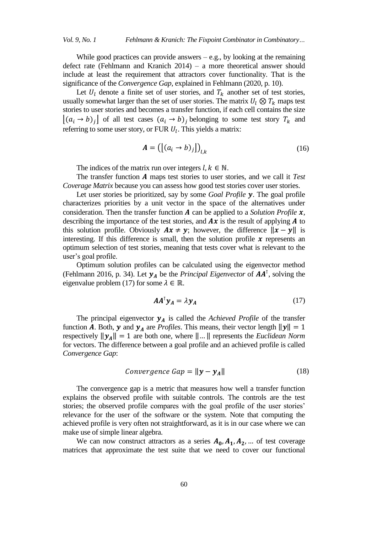While good practices can provide answers  $-e.g.,$  by looking at the remaining defect rate (Fehlmann and Kranich 2014) – a more theoretical answer should include at least the requirement that attractors cover functionality. That is the significance of the *Convergence Gap*, explained in Fehlmann (2020, p. 10).

Let  $U_l$  denote a finite set of user stories, and  $T_k$  another set of test stories, usually somewhat larger than the set of user stories. The matrix  $U_l \otimes T_k$  maps test stories to user stories and becomes a transfer function, if each cell contains the size  $[(a_i \rightarrow b)_j]$  of all test cases  $(a_i \rightarrow b)_j$  belonging to some test story  $T_k$  and referring to some user story, or FUR  $U_l$ . This yields a matrix:

$$
\mathbf{A} = \left( \left[ (a_i \rightarrow b)_j \right] \right)_{l,k} \tag{16}
$$

The indices of the matrix run over integers  $l, k \in \mathbb{N}$ .

The transfer function A maps test stories to user stories, and we call it *Test Coverage Matrix* because you can assess how good test stories cover user stories.

Let user stories be prioritized, say by some *Goal Profile* **y**. The goal profile characterizes priorities by a unit vector in the space of the alternatives under consideration. Then the transfer function  $\bm{A}$  can be applied to a *Solution Profile*  $\bm{x}$ , describing the importance of the test stories, and  $Ax$  is the result of applying  $A$  to this solution profile. Obviously  $Ax \neq y$ ; however, the difference  $||x - y||$  is interesting. If this difference is small, then the solution profile  $\boldsymbol{\chi}$  represents an optimum selection of test stories, meaning that tests cover what is relevant to the user's goal profile.

Optimum solution profiles can be calculated using the eigenvector method (Fehlmann 2016, p. 34). Let  $y_A$  be the *Principal Eigenvector* of  $AA^{\dagger}$ , solving the eigenvalue problem (17) for some  $\lambda \in \mathbb{R}$ .

$$
AA^{\mathsf{T}}\mathbf{y}_A = \lambda \mathbf{y}_A \tag{17}
$$

The principal eigenvector  $y_A$  is called the *Achieved Profile* of the transfer function A. Both, y and  $y_A$  are *Profiles*. This means, their vector length  $||y|| = 1$ respectively  $\|\mathbf{y}_A\| = 1$  are both one, where  $\|\dots\|$  represents the *Euclidean Norm* for vectors. The difference between a goal profile and an achieved profile is called *Convergence Gap*:

$$
Convergence Gap = ||y - yA||
$$
 (18)

The convergence gap is a metric that measures how well a transfer function explains the observed profile with suitable controls. The controls are the test stories; the observed profile compares with the goal profile of the user stories' relevance for the user of the software or the system. Note that computing the achieved profile is very often not straightforward, as it is in our case where we can make use of simple linear algebra.

We can now construct attractors as a series  $A_0$ ,  $A_1$ ,  $A_2$ , ... of test coverage matrices that approximate the test suite that we need to cover our functional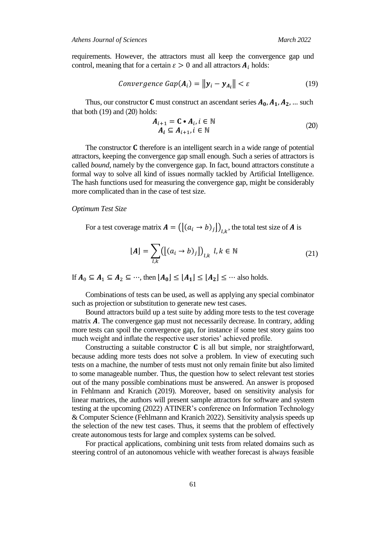requirements. However, the attractors must all keep the convergence gap und control, meaning that for a certain  $\varepsilon > 0$  and all attractors  $A_i$  holds:

$$
Convergence\ Gap(A_i) = \|\mathbf{y}_i - \mathbf{y}_{A_i}\| < \varepsilon \tag{19}
$$

Thus, our constructor **C** must construct an ascendant series  $A_0$ ,  $A_1$ ,  $A_2$ , ... such that both (19) and (20) holds:

$$
\begin{aligned} A_{i+1} &= \mathbf{C} \bullet A_i, i \in \mathbb{N} \\ A_i &\subseteq A_{i+1}, i \in \mathbb{N} \end{aligned} \tag{20}
$$

The constructor  $C$  therefore is an intelligent search in a wide range of potential attractors, keeping the convergence gap small enough. Such a series of attractors is called *bound*, namely by the convergence gap. In fact, bound attractors constitute a formal way to solve all kind of issues normally tackled by Artificial Intelligence. The hash functions used for measuring the convergence gap, might be considerably more complicated than in the case of test size.

## *Optimum Test Size*

For a test coverage matrix  $\boldsymbol{A} = ([(a_i \rightarrow b)_j])_{i,k}$ , the total test size of  $\boldsymbol{A}$  is

$$
[A] = \sum_{l,k} ([(a_i \to b)_j])_{l,k} \ l, k \in \mathbb{N}
$$
 (21)

If  $A_0 \subseteq A_1 \subseteq A_2 \subseteq \cdots$ , then  $[A_0] \subseteq [A_1] \subseteq [A_2] \subseteq \cdots$  also holds.

Combinations of tests can be used, as well as applying any special combinator such as projection or substitution to generate new test cases.

Bound attractors build up a test suite by adding more tests to the test coverage matrix  $A$ . The convergence gap must not necessarily decrease. In contrary, adding more tests can spoil the convergence gap, for instance if some test story gains too much weight and inflate the respective user stories' achieved profile.

Constructing a suitable constructor  $C$  is all but simple, nor straightforward, because adding more tests does not solve a problem. In view of executing such tests on a machine, the number of tests must not only remain finite but also limited to some manageable number. Thus, the question how to select relevant test stories out of the many possible combinations must be answered. An answer is proposed in Fehlmann and Kranich (2019). Moreover, based on sensitivity analysis for linear matrices, the authors will present sample attractors for software and system testing at the upcoming (2022) ATINER's conference on Information Technology & Computer Science (Fehlmann and Kranich 2022). Sensitivity analysis speeds up the selection of the new test cases. Thus, it seems that the problem of effectively create autonomous tests for large and complex systems can be solved.

For practical applications, combining unit tests from related domains such as steering control of an autonomous vehicle with weather forecast is always feasible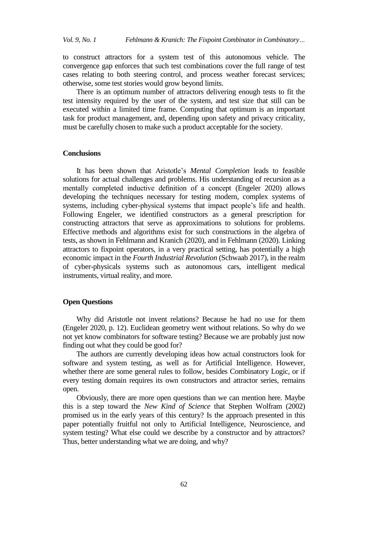to construct attractors for a system test of this autonomous vehicle. The convergence gap enforces that such test combinations cover the full range of test cases relating to both steering control, and process weather forecast services; otherwise, some test stories would grow beyond limits.

There is an optimum number of attractors delivering enough tests to fit the test intensity required by the user of the system, and test size that still can be executed within a limited time frame. Computing that optimum is an important task for product management, and, depending upon safety and privacy criticality, must be carefully chosen to make such a product acceptable for the society.

## **Conclusions**

It has been shown that Aristotle's *Mental Completion* leads to feasible solutions for actual challenges and problems. His understanding of recursion as a mentally completed inductive definition of a concept (Engeler 2020) allows developing the techniques necessary for testing modern, complex systems of systems, including cyber-physical systems that impact people's life and health. Following Engeler, we identified constructors as a general prescription for constructing attractors that serve as approximations to solutions for problems. Effective methods and algorithms exist for such constructions in the algebra of tests, as shown in Fehlmann and Kranich (2020), and in Fehlmann (2020). Linking attractors to fixpoint operators, in a very practical setting, has potentially a high economic impact in the *Fourth Industrial Revolution* (Schwaab 2017), in the realm of cyber-physicals systems such as autonomous cars, intelligent medical instruments, virtual reality, and more.

# **Open Questions**

Why did Aristotle not invent relations? Because he had no use for them (Engeler 2020, p. 12). Euclidean geometry went without relations. So why do we not yet know combinators for software testing? Because we are probably just now finding out what they could be good for?

The authors are currently developing ideas how actual constructors look for software and system testing, as well as for Artificial Intelligence. However, whether there are some general rules to follow, besides Combinatory Logic, or if every testing domain requires its own constructors and attractor series, remains open.

Obviously, there are more open questions than we can mention here. Maybe this is a step toward the *New Kind of Science* that Stephen Wolfram (2002) promised us in the early years of this century? Is the approach presented in this paper potentially fruitful not only to Artificial Intelligence, Neuroscience, and system testing? What else could we describe by a constructor and by attractors? Thus, better understanding what we are doing, and why?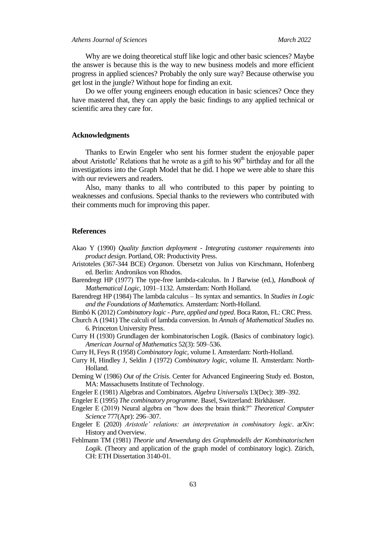Why are we doing theoretical stuff like logic and other basic sciences? Maybe the answer is because this is the way to new business models and more efficient progress in applied sciences? Probably the only sure way? Because otherwise you get lost in the jungle? Without hope for finding an exit.

Do we offer young engineers enough education in basic sciences? Once they have mastered that, they can apply the basic findings to any applied technical or scientific area they care for.

## **Acknowledgments**

Thanks to Erwin Engeler who sent his former student the enjoyable paper about Aristotle' Relations that he wrote as a gift to his  $90<sup>th</sup>$  birthday and for all the investigations into the Graph Model that he did. I hope we were able to share this with our reviewers and readers.

Also, many thanks to all who contributed to this paper by pointing to weaknesses and confusions. Special thanks to the reviewers who contributed with their comments much for improving this paper.

## **References**

- Akao Y (1990) *Quality function deployment - Integrating customer requirements into product design*. Portland, OR: Productivity Press.
- Aristoteles (367-344 BCE) *Organon*. Übersetzt von Julius von Kirschmann, Hofenberg ed. Berlin: Andronikos von Rhodos.
- Barendregt HP (1977) The type-free lambda-calculus. In J Barwise (ed.), *Handbook of Mathematical Logic*, 1091*–*1132. Amsterdam: North Holland.
- Barendregt HP (1984) The lambda calculus Its syntax and semantics. In *Studies in Logic and the Foundations of Mathematics*. Amsterdam: North-Holland.
- Bimbó K (2012) *Combinatory logic - Pure, applied and typed*. Boca Raton, FL: CRC Press.
- Church A (1941) The calculi of lambda conversion. In *Annals of Mathematical Studies* no. 6. Princeton University Press.
- Curry H (1930) Grundlagen der kombinatorischen Logik. (Basics of combinatory logic). *American Journal of Mathematics* 52(3): 509*–*536.
- Curry H, Feys R (1958) *Combinatory logic*, volume I. Amsterdam: North-Holland.
- Curry H, Hindley J, Seldin J (1972) *Combinatory logic*, volume II. Amsterdam: North-Holland.
- Deming W (1986) *Out of the Crisis*. Center for Advanced Engineering Study ed. Boston, MA: Massachusetts Institute of Technology.
- Engeler E (1981) Algebras and Combinators. *Algebra Universalis* 13(Dec): 389*–*392.
- Engeler E (1995) *The combinatory programme*. Basel, Switzerland: Birkhäuser.
- Engeler E (2019) Neural algebra on "how does the brain think?" *Theoretical Computer Science* 777(Apr): 296*–*307.
- Engeler E (2020) *Aristotle' relations: an interpretation in combinatory logic*. arXiv: History and Overview.
- Fehlmann TM (1981) *Theorie und Anwendung des Graphmodells der Kombinatorischen Logik*. (Theory and application of the graph model of combinatory logic). Zürich, CH: ETH Dissertation 3140-01.